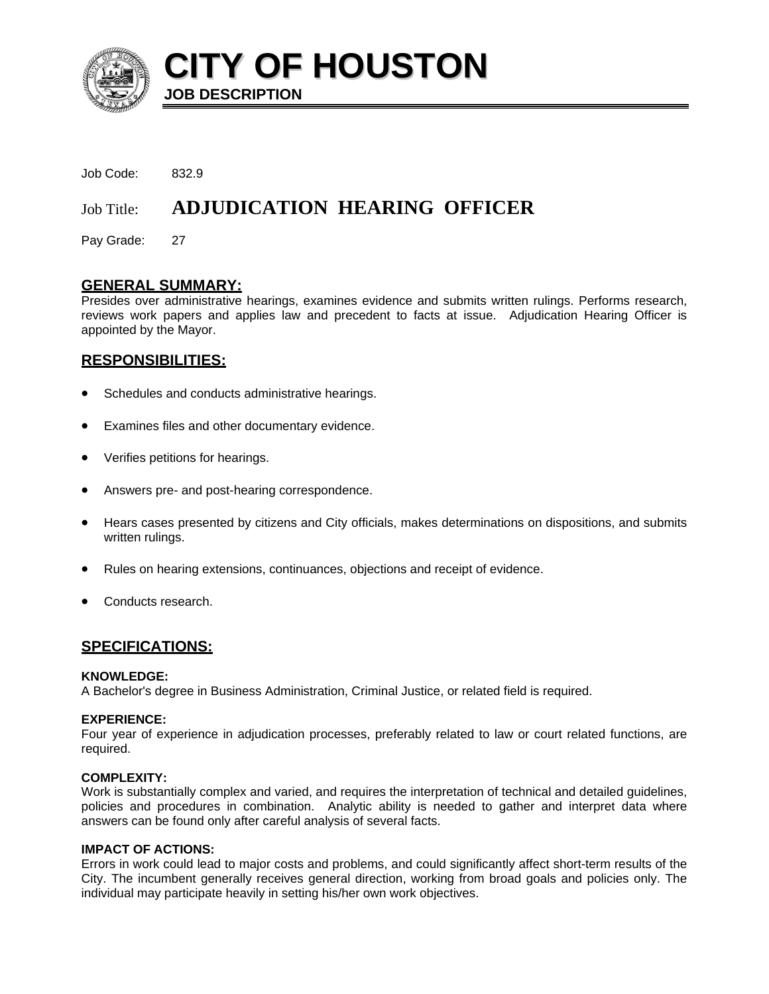

**CITY OF HOUSTON JOB DESCRIPTION** 

Job Code: 832.9

# Job Title: **ADJUDICATION HEARING OFFICER**

Pay Grade: 27

## **GENERAL SUMMARY:**

Presides over administrative hearings, examines evidence and submits written rulings. Performs research, reviews work papers and applies law and precedent to facts at issue. Adjudication Hearing Officer is appointed by the Mayor.

## **RESPONSIBILITIES:**

- Schedules and conducts administrative hearings.
- Examines files and other documentary evidence.
- Verifies petitions for hearings.
- Answers pre- and post-hearing correspondence.
- Hears cases presented by citizens and City officials, makes determinations on dispositions, and submits written rulings.
- Rules on hearing extensions, continuances, objections and receipt of evidence.
- Conducts research.

# **SPECIFICATIONS:**

#### **KNOWLEDGE:**

A Bachelor's degree in Business Administration, Criminal Justice, or related field is required.

#### **EXPERIENCE:**

Four year of experience in adjudication processes, preferably related to law or court related functions, are required.

#### **COMPLEXITY:**

Work is substantially complex and varied, and requires the interpretation of technical and detailed guidelines, policies and procedures in combination. Analytic ability is needed to gather and interpret data where answers can be found only after careful analysis of several facts.

#### **IMPACT OF ACTIONS:**

Errors in work could lead to major costs and problems, and could significantly affect short-term results of the City. The incumbent generally receives general direction, working from broad goals and policies only. The individual may participate heavily in setting his/her own work objectives.